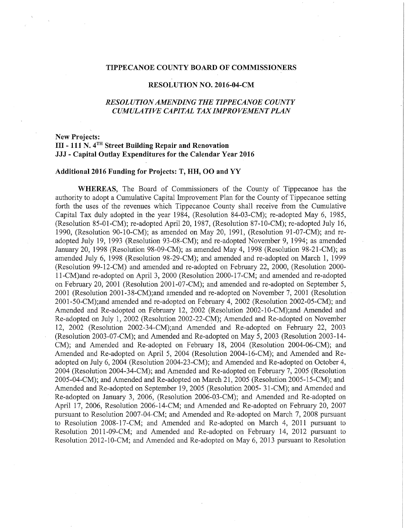## TIPPECANOE COUNTY BOARD OF COMMISSIONERS

## RESOLUTION NO. 2016—04-CM

# RES0LUTIONAMENDING THE TIPPECANOE COUNTY CUMULATIVE CAPITAL TAX IMPROVEMENT PLAN

# New Projects: III — <sup>111</sup> N. 4TH Street Building Repair and Renovation JJJ - Capital Outlay Expenditures for the Calendar Year 2016

#### Additional <sup>2016</sup> Funding for Projects: T, HH, 00 and YY

WHEREAS, The Board of Commissioners of the County of Tippecanoe has the authority to adopt a Cumulative Capital Improvement Plan for the County of Tippecanoe setting forth the uses of the revenues which Tippecanoe County shall receive from the Cumulative Capital Tax duly adopted in the year 1984, (Resolution 84-03-CM); re-adopted May 6, 1985, (Resolution 85-01-CM); re-adopted April 20, 1987, (Resolution 87—10—CM); re-adopted July 16, 1990, (Resolution 90-10-CM); as amended on May 20, 1991, (Resolution 91-07-CM); and readopted July 19, 1993 (Resolution 93-08-CM); and re-adopted November 9, 1994; as amended January 20, 1998 (Resolution 98—09-CM); as amended May 4, 1998 (Resolution 98-21-CM); as amended July 6, 1998 (Resolution 98~29~CM); and amended and re-adopted on March 1, 1999 (Resolution 99-12-CM) and amended and re-adopted on February 22, 2000, (Resolution 2000-11-CM)and re-adopted on April 3, 2000 (Resolution 2000-17-CM; and amended and re-adopted on February 20, 2001 (Resolution 2001-07-CM); and amended and re-adopted on September 5, 2001 (Resolution 2001-38-CM);and amended and re-adopted on November 7, 2001 (Resolution 2001-50-CM);and amended and re-adopted on February 4, 2002 (Resolution 2002-05-CM); and Amended and Re-adopted on February 12, 2002 (Resolution 2002-10-CM);and Amended and Re-adopted on July 1, 2002 (Resolution 2002—22-CM); Amended and Re-adopted on November 12, 2002 (Resolution 2002—34—CM);and Amended and Re-adopted on February 22, 2003 (Resolution 2003-07-CM); and Amended and Re-adopted on May  $5$ , 2003 (Resolution 2003-14-CM); and Amended and Re-adopted on February 18, 2004 (Resolution 2004-06-CM); and Amended and Re-adopted on April 5, 2004 (Resolution 2004-16-CM); and Amended and Readopted on July 6, 2004 (Resolution 2004-23-CM); and Amended and Re-adopted on October 4, 2004 (Resolution 2004-34-CM); and Amended and Re-adopted on February 7, 2005 (Resolution 2005-04-CM); and Amended and Re-adopted on March 21, 2005 (Resolution 2005-15-CM); and Amended and Re-adopted on September 19, 2005 (Resolution 2005-31-CM); and Amended and Re-adopted on January 3, 2006, (Resolution 2006-03—CM); and Amended and Re—adopted on April 17, 2006, Resolution 2006-14-CM; and Amended and Re-adopted on February 20, 2007 pursuant to Resolution 2007-04-CM; and Amended and Re-adopted on March 7, 2008 pursuant to Resolution 2008—17—CM; and Amended and Re—adopted on March 4, 2011 pursuant to Resolution 2011-09-CM; and Amended and Re-adopted on February 14, 2012 pursuant to Resolution 2012-10-CM; and Amended and Re-adopted on May 6, 2013 pursuant to Resolution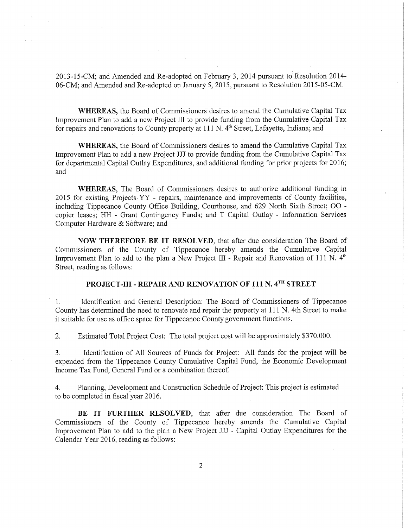2013—15-CM; and Amended and Re-adopted on February 3, 2014 pursuant to Resolution 2014— 06—CM; and Amended and Re~adopted on January 5, 2015, pursuant to Resolution 2015-05—CM.

WHEREAS, the Board of Commissioners desires to amend the Cumulative Capital Tax Improvement Plan to add <sup>a</sup> new Project III to provide funding from the Cumulative Capital Tax for repairs and renovations to County property at  $111$  N.  $4<sup>th</sup>$  Street, Lafayette, Indiana; and

WHEREAS, the Board of Commissioners desires to amend the Cumulative Capital Tax Improvement Plan to add <sup>a</sup> new Project III to provide funding from the Cumulative Capital Tax for departmental Capital Outlay Expenditures, and additional funding for prior projects for 2016; and '

WHEREAS, The Board of Commissioners desires to authorize additional funding in 2015 for existing Projects-YY - repairs, maintenance and improvements of County facilities, including Tippecanoe County Office Building, Courthouse, and 629 North Sixth Street; 00 copier leases; HH - Grant Contingency Funds; and T Capital Outlay - Information Services Computer Hardware & Software; and

NOW THEREFORE BE IT RESOLVED, that after due consideration The Board of Commissioners of the County of Tippecanoe hereby amends the Cumulative Capital Improvement Plan to add to the plan a New Project III - Repair and Renovation of 111 N.  $4<sup>th</sup>$ Street, reading as follows:

# PROJECT-III - REPAIR AND RENOVATION OF 111 N. 4TH STREET

 1. Identification and General Description: The Board of Commissioners of Tippecanoe County has determined the need to renovate and repair the property at <sup>111</sup> N. 4th Street to make it suitable for use as office space for Tippecanoe County government functions.

2. Estimated Total Project Cost: The total project cost will be approximately \$370,000.

3. Identification of All Sources of Funds for Project: All funds for the project will be expended from the Tippecanoe County Cumulative Capital Fund, the Economic Development Income Tax Fund, General Fund or <sup>a</sup> combination thereof.

4. Planning, Development and Construction Schedule of Project: This project is estimated to be completed in fiscal year 2016.

BE IT FURTHER RESOLVED, that after due consideration The Board of Commissioners of the County of Tippecanoe hereby amends the Cumulative Capital Improvement Plan to add to the plan <sup>a</sup> New Project JJJ - Capital Outlay Expenditures for the Calendar Year 2016, reading as follows:

 $\overline{2}$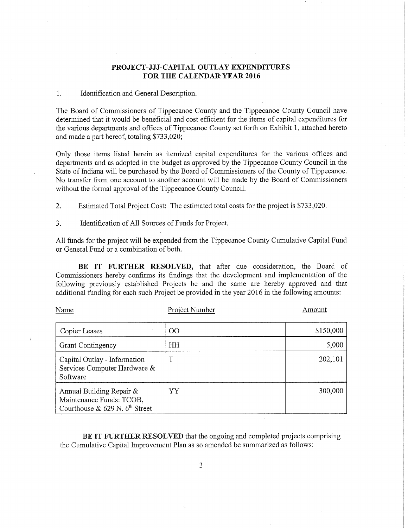# PROJECT-JJJ-CAPITAL OUTLAY EXPENDITURES FOR THE CALENDAR YEAR 2016

### 1. Identification and General Description.

The Board of Commissioners of Tippecanoe County and the Tippecanoe County Council have determined that it would be beneficial and cost efficient for the items of capital expenditures for the various departments and offices of Tippecanoe County set forth on Exhibit 1, attached hereto and made <sup>a</sup> part hereof, totaling \$733,020;

Only those items listed herein as itemized capital expenditures for the various offices and departments and as adopted in the budget as approved by the Tippecanoe County Council in the State of Indiana will be purchased by the Board of Commissioners of the County of Tippecanoe. No transfer from one account to another account will be made by the Board of Commissioners without the formal approval of the Tippecanoe County Council.

2. Estimated Total Project Cost: The estimated total costs for the project is \$733,020.

3. Identification of All Sources of Funds for Project.

All funds for the project will be expended from the Tippecanoe County Cumulative Capital Fund or General Fund or a combination of both.

BE IT FURTHER RESOLVED, that after due consideration, the Board of Commissioners hereby confirms its findings that the development and implementation of the following previously established Projects be and the same are hereby approved and that additional funding for each such Project be provided in the year 2016 in the following amounts:

| Name                                                                                        | Project Number  | Amount    |
|---------------------------------------------------------------------------------------------|-----------------|-----------|
| Copier Leases                                                                               | $\overline{O}O$ | \$150,000 |
| <b>Grant Contingency</b>                                                                    | HH              | 5,000     |
| Capital Outlay - Information<br>Services Computer Hardware &<br>Software                    | T               | 202,101   |
| Annual Building Repair $\&$<br>Maintenance Funds: TCOB,<br>Courthouse & 629 N. $6th$ Street | YY              | 300,000   |

BE IT FURTHER RESOLVED that the ongoing and completed projects comprising the Cumulative Capital Improvement Plan as so amended be summarized as follows:

3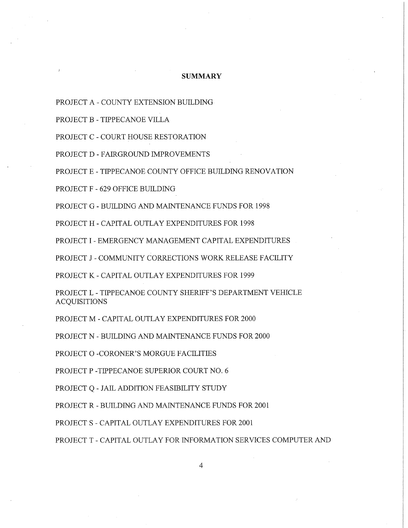#### **SUMMARY**

PROJECT A - COUNTY EXTENSION BUILDING

PROJECT B - TIPPECANOE VILLA

PROJECT C - COURT HOUSE RESTORATION

PROJECT D - FAIRGROUND IMPROVEMENTS

PROJECT E - TIPPECANOE COUNTY OFFICE BUILDING RENOVATION

PROJECT F - 629 OFFICE BUILDING

PROJECT G - BUILDING AND MAINTENANCE FUNDS FOR 1998

PROJECT H - CAPITAL OUTLAY EXPENDITURES FOR 1998

PROJECT I - EMERGENCY MANAGEMENT CAPITAL EXPENDITURES

PROJECT J - COMMUNITY CORRECTIONS WORK RELEASE FACILITY

PROJECT K - CAPITAL OUTLAY EXPENDITURES FOR 1999

PROJECT L - TIPPECANOE COUNTY SHERIFF'S DEPARTMENT VEHICLE ACQUISITIONS

PROJECT M -CAPITAL OUTLAY EXPENDITURES FOR 2000

PROJECT N - BUILDING AND MAINTENANCE FUNDS FOR 2000

PROJECT O -CORONER'S MORGUE FACILITIES

PROJECT P -TIPPECANOE SUPERIOR COURT NO. 6

PROJECT Q - JAIL ADDITION FEASIBILITY STUDY

PROJECT R — BUILDING AND MAINTENANCE FUNDS FOR 2001

PROJECT S - CAPITAL OUTLAY EXPENDITURES FOR 2001

PROJECT T - CAPITAL OUTLAY FOR INFORMATION SERVICES COMPUTER AND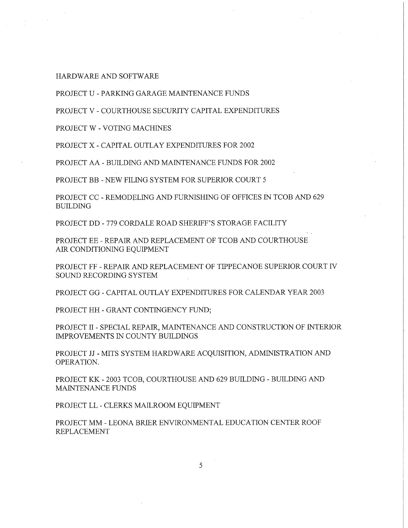HARDWARE AND SOFTWARE

PROJECT U - PARKING GARAGE MAINTENANCE FUNDS

PROJECT V - COURTHOUSE SECURITY CAPITAL EXPENDITURES

PROJECT W - VOTING MACHINES

PROJECT X - CAPITAL OUTLAY EXPENDITURES FOR 2002

PROJECT AA - BUILDING AND MAINTENANCE FUNDS FOR 2002

PROJECT BB - NEW FILING SYSTEM FOR SUPERIOR COURT 5

PROJECT CC - REMODELING AND FURNISHING OF OFFICES IN TCOB AND 629 BUILDING

PROJECT DD — 779 CORDALE ROAD SHERIFF'S STORAGE FACILITY

PROJECT EE — REPAIR AND REPLACEMENT OF TCOB AND COURTHOUSE AIR CONDITIONING EQUIPMENT

PROJECT FF - REPAIR AND REPLACEMENT OF TIPPECANOE SUPERIOR COURT IV SOUND RECORDING SYSTEM

PROJECT GG — CAPITAL OUTLAY EXPENDITURES FOR CALENDAR YEAR 2003

PROJECT HH - GRANT CONTINGENCY FUND;

PROJECT II - SPECIAL REPAIR, MAINTENANCE AND CONSTRUCTION OF INTERIOR IMPROVEMENTS IN COUNTY BUILDINGS

PROJECT JJ - MITS SYSTEM HARDWARE ACQUISITION, ADMINISTRATION AND OPERATION.

PROJECT KK - 2003 TCOB, COURTHOUSE AND 629 BUILDING - BUILDING AND MAINTENANCE FUNDS

PROJECT LL — CLERKS MAILROOM EQUIPMENT

PROJECT MM - LEONA BRIER ENVIRONMENTAL EDUCATION CENTER ROOF REPLACEMENT

5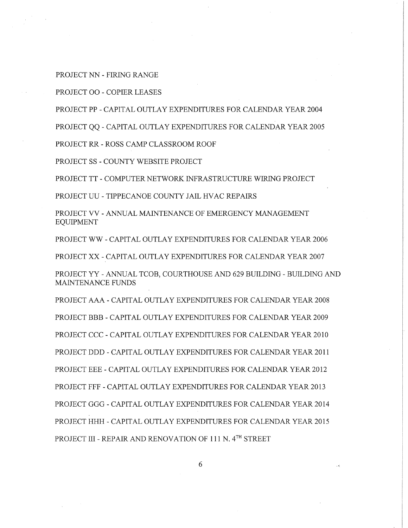PROJECT NN - FIRING RANGE

PROJECT 00 <sup>~</sup> COPIER LEASES

PROJECT PP — CAPITAL OUTLAY EXPENDITURES FOR CALENDAR YEAR 2004

PROJECT QQ - CAPITAL OUTLAY EXPENDITURES FOR CALENDAR YEAR 2005

PROJECT RR <sup>~</sup> ROSS CAMP CLASSROOM ROOF

PROJECT SS - COUNTY WEBSITE PROJECT

PROJECT TT — COMPUTER NETWORK INFRASTRUCTURE WIRING PROJECT

PROJECT UU - TIPPECANOE COUNTY JAIL HVAC REPAIRS

PROJECT VV - ANNUAL MAINTENANCE OF EMERGENCY MANAGEMENT EQUIPMENT

PROJECT WW - CAPITAL OUTLAY EXPENDITURES FOR CALENDAR YEAR 2006

PROJECT XX <sup>~</sup> CAPITAL OUTLAY EXPENDITURES FOR CALENDAR YEAR 2007

PROJECT YY - ANNUAL TCOB, COURTHOUSE AND 629 BUILDING - BUILDING AND MAINTENANCE FUNDS

PROJECT AAA - CAPITAL OUTLAY EXPENDITURES FOR CALENDAR YEAR 2008 PROJECT BBB - CAPITAL OUTLAY EXPENDITURES FOR CALENDAR YEAR 2009 PROJECT CCC — CAPITAL OUTLAY EXPENDITURES FOR CALENDAR YEAR 2010 PROJECT DDD - CAPITAL OUTLAY EXPENDITURES FOR CALENDAR YEAR 2011 PROJECT EEE - CAPITAL OUTLAY EXPENDITURES FOR CALENDAR YEAR 2012 PROJECT FFF — CAPITAL OUTLAY EXPENDITURES FOR CALENDAR YEAR 2013 PROJECT GGG — CAPITAL OUTLAY EXPENDITURES FOR CALENDAR YEAR 2014 PROJECT IIHH - CAPITAL OUTLAY EXPENDITURES FOR CALENDAR YEAR 2015 PROJECT III - REPAIR AND RENOVATION OF 111 N. 4TH STREET

6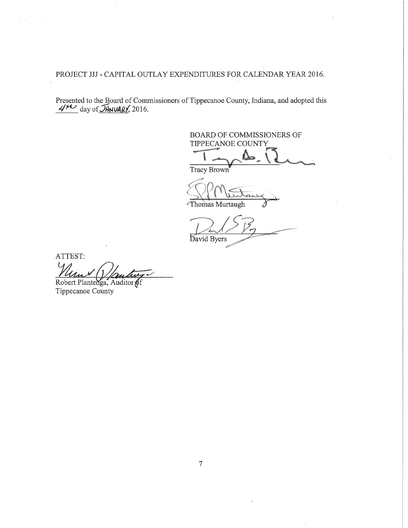PROJECT JJJ - CAPITAL OUTLAY EXPENDITURES FOR CALENDAR YEAR 2016.

Presented to the Board of Commissioners of Tippecanoe County, Indiana, and adopted this  $\frac{\mathcal{A}^{\mu\nu}}{2}$  day of  $\mathcal{A}^{\mu\nu}$  (2016.

BOARD OF COMMISSIONERS OF TIPPECANOE COUNTY

Tracy Brown

Thomas Murtaugh

David Byers

ATTEST:

Robert Plantenga, Auditor of

Tippecanoe County